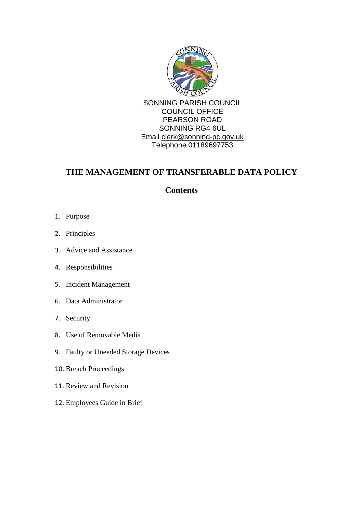

# **THE MANAGEMENT OF TRANSFERABLE DATA POLICY**

# **Contents**

- 1. Purpose
- 2. Principles
- 3. Advice and Assistance
- 4. Responsibilities
- 5. Incident Management
- 6. Data Administrator
- 7. Security
- 8. Use of Removable Media
- 9. Faulty or Uneeded Storage Devices
- 10. Breach Proceedings
- 11. Review and Revision
- 12. Employees Guide in Brief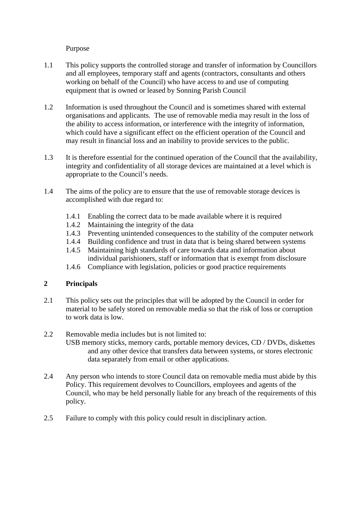Purpose

- 1.1 This policy supports the controlled storage and transfer of information by Councillors and all employees, temporary staff and agents (contractors, consultants and others working on behalf of the Council) who have access to and use of computing equipment that is owned or leased by Sonning Parish Council
- 1.2 Information is used throughout the Council and is sometimes shared with external organisations and applicants. The use of removable media may result in the loss of the ability to access information, or interference with the integrity of information, which could have a significant effect on the efficient operation of the Council and may result in financial loss and an inability to provide services to the public.
- 1.3 It is therefore essential for the continued operation of the Council that the availability, integrity and confidentiality of all storage devices are maintained at a level which is appropriate to the Council's needs.
- 1.4 The aims of the policy are to ensure that the use of removable storage devices is accomplished with due regard to:
	- 1.4.1 Enabling the correct data to be made available where it is required
	- 1.4.2 Maintaining the integrity of the data
	- 1.4.3 Preventing unintended consequences to the stability of the computer network
	- 1.4.4 Building confidence and trust in data that is being shared between systems
	- 1.4.5 Maintaining high standards of care towards data and information about individual parishioners, staff or information that is exempt from disclosure
	- 1.4.6 Compliance with legislation, policies or good practice requirements

### **2 Principals**

2.1 This policy sets out the principles that will be adopted by the Council in order for material to be safely stored on removable media so that the risk of loss or corruption to work data is low.

#### 2.2 Removable media includes but is not limited to:

- USB memory sticks, memory cards, portable memory devices, CD / DVDs, diskettes and any other device that transfers data between systems, or stores electronic data separately from email or other applications.
- 2.4 Any person who intends to store Council data on removable media must abide by this Policy. This requirement devolves to Councillors, employees and agents of the Council, who may be held personally liable for any breach of the requirements of this policy.
- 2.5 Failure to comply with this policy could result in disciplinary action.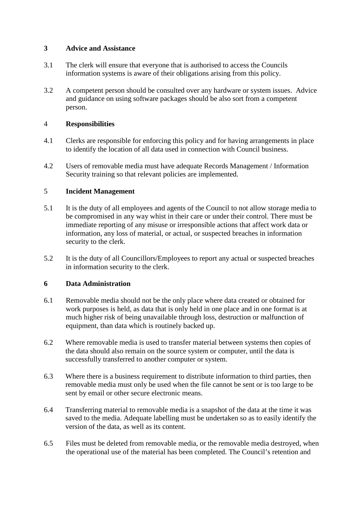### **3 Advice and Assistance**

- 3.1 The clerk will ensure that everyone that is authorised to access the Councils information systems is aware of their obligations arising from this policy.
- 3.2 A competent person should be consulted over any hardware or system issues. Advice and guidance on using software packages should be also sort from a competent person.

## 4 **Responsibilities**

- 4.1 Clerks are responsible for enforcing this policy and for having arrangements in place to identify the location of all data used in connection with Council business.
- 4.2 Users of removable media must have adequate Records Management / Information Security training so that relevant policies are implemented.

## 5 **Incident Management**

- 5.1 It is the duty of all employees and agents of the Council to not allow storage media to be compromised in any way whist in their care or under their control. There must be immediate reporting of any misuse or irresponsible actions that affect work data or information, any loss of material, or actual, or suspected breaches in information security to the clerk.
- 5.2 It is the duty of all Councillors/Employees to report any actual or suspected breaches in information security to the clerk.

### **6 Data Administration**

- 6.1 Removable media should not be the only place where data created or obtained for work purposes is held, as data that is only held in one place and in one format is at much higher risk of being unavailable through loss, destruction or malfunction of equipment, than data which is routinely backed up.
- 6.2 Where removable media is used to transfer material between systems then copies of the data should also remain on the source system or computer, until the data is successfully transferred to another computer or system.
- 6.3 Where there is a business requirement to distribute information to third parties, then removable media must only be used when the file cannot be sent or is too large to be sent by email or other secure electronic means.
- 6.4 Transferring material to removable media is a snapshot of the data at the time it was saved to the media. Adequate labelling must be undertaken so as to easily identify the version of the data, as well as its content.
- 6.5 Files must be deleted from removable media, or the removable media destroyed, when the operational use of the material has been completed. The Council's retention and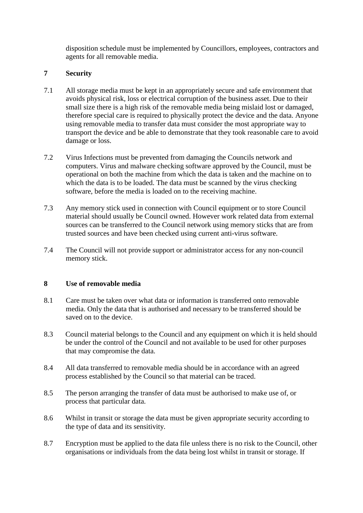disposition schedule must be implemented by Councillors, employees, contractors and agents for all removable media.

### **7 Security**

- 7.1 All storage media must be kept in an appropriately secure and safe environment that avoids physical risk, loss or electrical corruption of the business asset. Due to their small size there is a high risk of the removable media being mislaid lost or damaged, therefore special care is required to physically protect the device and the data. Anyone using removable media to transfer data must consider the most appropriate way to transport the device and be able to demonstrate that they took reasonable care to avoid damage or loss.
- 7.2 Virus Infections must be prevented from damaging the Councils network and computers. Virus and malware checking software approved by the Council, must be operational on both the machine from which the data is taken and the machine on to which the data is to be loaded. The data must be scanned by the virus checking software, before the media is loaded on to the receiving machine.
- 7.3 Any memory stick used in connection with Council equipment or to store Council material should usually be Council owned. However work related data from external sources can be transferred to the Council network using memory sticks that are from trusted sources and have been checked using current anti-virus software.
- 7.4 The Council will not provide support or administrator access for any non-council memory stick.

### **8 Use of removable media**

- 8.1 Care must be taken over what data or information is transferred onto removable media. Only the data that is authorised and necessary to be transferred should be saved on to the device.
- 8.3 Council material belongs to the Council and any equipment on which it is held should be under the control of the Council and not available to be used for other purposes that may compromise the data.
- 8.4 All data transferred to removable media should be in accordance with an agreed process established by the Council so that material can be traced.
- 8.5 The person arranging the transfer of data must be authorised to make use of, or process that particular data.
- 8.6 Whilst in transit or storage the data must be given appropriate security according to the type of data and its sensitivity.
- 8.7 Encryption must be applied to the data file unless there is no risk to the Council, other organisations or individuals from the data being lost whilst in transit or storage. If